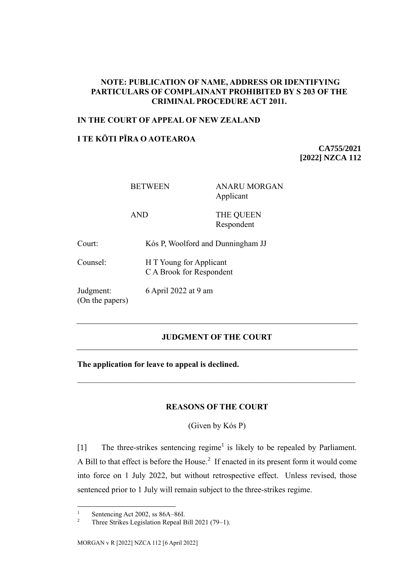## **NOTE: PUBLICATION OF NAME, ADDRESS OR IDENTIFYING PARTICULARS OF COMPLAINANT PROHIBITED BY S 203 OF THE CRIMINAL PROCEDURE ACT 2011.**

### **IN THE COURT OF APPEAL OF NEW ZEALAND**

# **I TE KŌTI PĪRA O AOTEAROA**

**CA755/2021 [2022] NZCA 112**

BETWEEN ANARU MORGAN Applicant

AND THE QUEEN Respondent

Court: Kós P, Woolford and Dunningham JJ

Counsel: H T Young for Applicant

C A Brook for Respondent

Judgment: (On the papers) 6 April 2022 at 9 am

## **JUDGMENT OF THE COURT**

**The application for leave to appeal is declined.**

#### **REASONS OF THE COURT**

(Given by Kós P)

[1] The three-strikes sentencing regime<sup>1</sup> is likely to be repealed by Parliament. A Bill to that effect is before the House.<sup>2</sup> If enacted in its present form it would come into force on 1 July 2022, but without retrospective effect. Unless revised, those sentenced prior to 1 July will remain subject to the three-strikes regime.

 $\frac{1}{2}$  Sentencing Act 2002, ss 86A–86I.

<sup>2</sup> Three Strikes Legislation Repeal Bill 2021 (79–1).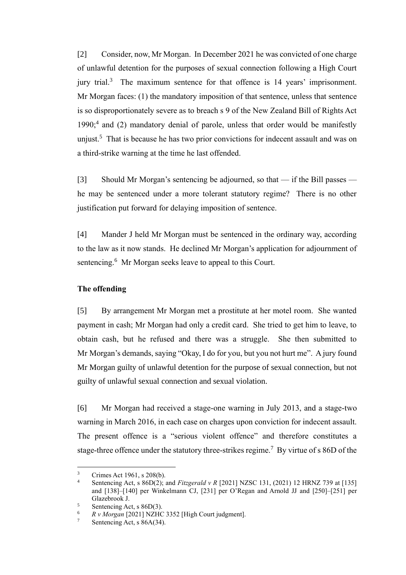[2] Consider, now, Mr Morgan. In December 2021 he was convicted of one charge of unlawful detention for the purposes of sexual connection following a High Court jury trial.<sup>3</sup> The maximum sentence for that offence is 14 years' imprisonment. Mr Morgan faces: (1) the mandatory imposition of that sentence, unless that sentence is so disproportionately severe as to breach s 9 of the New Zealand Bill of Rights Act 1990;<sup>4</sup> and (2) mandatory denial of parole, unless that order would be manifestly unjust.<sup>5</sup> That is because he has two prior convictions for indecent assault and was on a third-strike warning at the time he last offended.

<span id="page-1-0"></span>[3] Should Mr Morgan's sentencing be adjourned, so that — if the Bill passes he may be sentenced under a more tolerant statutory regime? There is no other justification put forward for delaying imposition of sentence.

[4] Mander J held Mr Morgan must be sentenced in the ordinary way, according to the law as it now stands. He declined Mr Morgan's application for adjournment of sentencing.<sup>6</sup> Mr Morgan seeks leave to appeal to this Court.

## **The offending**

[5] By arrangement Mr Morgan met a prostitute at her motel room. She wanted payment in cash; Mr Morgan had only a credit card. She tried to get him to leave, to obtain cash, but he refused and there was a struggle. She then submitted to Mr Morgan's demands, saying "Okay, I do for you, but you not hurt me". A jury found Mr Morgan guilty of unlawful detention for the purpose of sexual connection, but not guilty of unlawful sexual connection and sexual violation.

[6] Mr Morgan had received a stage-one warning in July 2013, and a stage-two warning in March 2016, in each case on charges upon conviction for indecent assault. The present offence is a "serious violent offence" and therefore constitutes a stage-three offence under the statutory three-strikes regime.<sup>7</sup> By virtue of s 86D of the

 $\frac{3}{4}$  Crimes Act 1961, s 208(b).

Sentencing Act, s 86D(2); and *Fitzgerald v R* [2021] NZSC 131, (2021) 12 HRNZ 739 at [135] and [138]–[140] per Winkelmann CJ, [231] per O'Regan and Arnold JJ and [250]–[251] per Glazebrook J.

 $\frac{5}{6}$  Sentencing Act, s 86D(3).

 $R v Morgan [2021] NZHC 3352$  [High Court judgment].<br>
Soptomaing Ast  $6.86A(34)$ 

Sentencing Act, s 86A(34).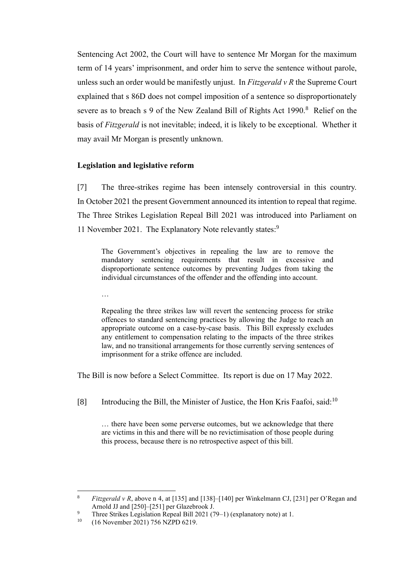Sentencing Act 2002, the Court will have to sentence Mr Morgan for the maximum term of 14 years' imprisonment, and order him to serve the sentence without parole, unless such an order would be manifestly unjust. In *Fitzgerald v R* the Supreme Court explained that s 86D does not compel imposition of a sentence so disproportionately severe as to breach s 9 of the New Zealand Bill of Rights Act  $1990$ .<sup>8</sup> Relief on the basis of *Fitzgerald* is not inevitable; indeed, it is likely to be exceptional. Whether it may avail Mr Morgan is presently unknown.

#### **Legislation and legislative reform**

[7] The three-strikes regime has been intensely controversial in this country. In October 2021 the present Government announced its intention to repeal that regime. The Three Strikes Legislation Repeal Bill 2021 was introduced into Parliament on 11 November 2021. The Explanatory Note relevantly states:<sup>9</sup>

The Government's objectives in repealing the law are to remove the mandatory sentencing requirements that result in excessive and disproportionate sentence outcomes by preventing Judges from taking the individual circumstances of the offender and the offending into account.

…

Repealing the three strikes law will revert the sentencing process for strike offences to standard sentencing practices by allowing the Judge to reach an appropriate outcome on a case-by-case basis. This Bill expressly excludes any entitlement to compensation relating to the impacts of the three strikes law, and no transitional arrangements for those currently serving sentences of imprisonment for a strike offence are included.

The Bill is now before a Select Committee. Its report is due on 17 May 2022.

[8] Introducing the Bill, the Minister of Justice, the Hon Kris Faafoi, said:<sup>10</sup>

… there have been some perverse outcomes, but we acknowledge that there are victims in this and there will be no revictimisation of those people during this process, because there is no retrospective aspect of this bill.

<sup>8</sup> *Fitzgerald v R*, above n [4,](#page-1-0) at [135] and [138]–[140] per Winkelmann CJ, [231] per O'Regan and Arnold JJ and [250]–[251] per Glazebrook J.

<sup>&</sup>lt;sup>9</sup> Three Strikes Legislation Repeal Bill 2021 (79–1) (explanatory note) at 1.<br><sup>10</sup> (16 November 2021) 756 NZPD 6210

<sup>10</sup> (16 November 2021) 756 NZPD 6219.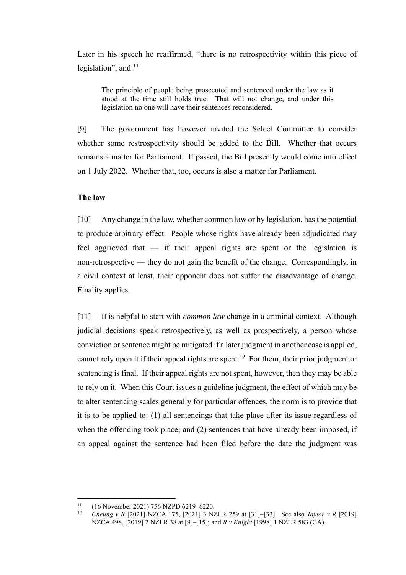Later in his speech he reaffirmed, "there is no retrospectivity within this piece of legislation", and:<sup>11</sup>

The principle of people being prosecuted and sentenced under the law as it stood at the time still holds true. That will not change, and under this legislation no one will have their sentences reconsidered.

[9] The government has however invited the Select Committee to consider whether some restrospectivity should be added to the Bill. Whether that occurs remains a matter for Parliament. If passed, the Bill presently would come into effect on 1 July 2022. Whether that, too, occurs is also a matter for Parliament.

#### **The law**

[10] Any change in the law, whether common law or by legislation, has the potential to produce arbitrary effect. People whose rights have already been adjudicated may feel aggrieved that — if their appeal rights are spent or the legislation is non-retrospective — they do not gain the benefit of the change. Correspondingly, in a civil context at least, their opponent does not suffer the disadvantage of change. Finality applies.

<span id="page-3-0"></span>[11] It is helpful to start with *common law* change in a criminal context. Although judicial decisions speak retrospectively, as well as prospectively, a person whose conviction or sentence might be mitigated if a later judgment in another case is applied, cannot rely upon it if their appeal rights are spent.<sup>12</sup> For them, their prior judgment or sentencing is final. If their appeal rights are not spent, however, then they may be able to rely on it. When this Court issues a guideline judgment, the effect of which may be to alter sentencing scales generally for particular offences, the norm is to provide that it is to be applied to: (1) all sentencings that take place after its issue regardless of when the offending took place; and (2) sentences that have already been imposed, if an appeal against the sentence had been filed before the date the judgment was

<sup>11 (16</sup> November 2021) 756 NZPD 6219–6220.<br>  $12 \tCherum = 0.520211 NZCA$  175 520211 2 N

<sup>12</sup> *Cheung v R* [2021] NZCA 175, [2021] 3 NZLR 259 at [31]–[33]. See also *Taylor v R* [2019] NZCA 498, [2019] 2 NZLR 38 at [9]–[15]; and *R v Knight* [1998] 1 NZLR 583 (CA).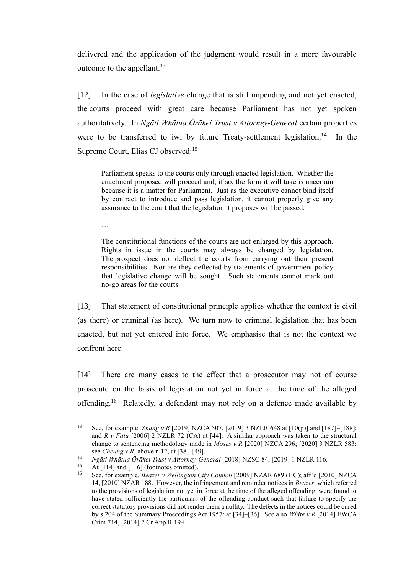delivered and the application of the judgment would result in a more favourable outcome to the appellant.<sup>13</sup>

<span id="page-4-0"></span>[12] In the case of *legislative* change that is still impending and not yet enacted, the courts proceed with great care because Parliament has not yet spoken authoritatively. In *Ngāti Whātua Ōrākei Trust v Attorney-General* certain properties were to be transferred to iwi by future Treaty-settlement legislation.<sup>14</sup> In the Supreme Court, Elias CJ observed:<sup>15</sup>

Parliament speaks to the courts only through enacted legislation. Whether the enactment proposed will proceed and, if so, the form it will take is uncertain because it is a matter for Parliament. Just as the executive cannot bind itself by contract to introduce and pass legislation, it cannot properly give any assurance to the court that the legislation it proposes will be passed.

…

The constitutional functions of the courts are not enlarged by this approach. Rights in issue in the courts may always be changed by legislation. The prospect does not deflect the courts from carrying out their present responsibilities. Nor are they deflected by statements of government policy that legislative change will be sought. Such statements cannot mark out no-go areas for the courts.

<span id="page-4-1"></span>[13] That statement of constitutional principle applies whether the context is civil (as there) or criminal (as here). We turn now to criminal legislation that has been enacted, but not yet entered into force. We emphasise that is not the context we confront here.

[14] There are many cases to the effect that a prosecutor may not of course prosecute on the basis of legislation not yet in force at the time of the alleged offending.<sup>16</sup> Relatedly, a defendant may not rely on a defence made available by

<sup>13</sup> See, for example, *Zhang v R* [2019] NZCA 507, [2019] 3 NZLR 648 at [10(p)] and [187]–[188]; and *R v Fatu* [2006] 2 NZLR 72 (CA) at [44]. A similar approach was taken to the structural change to sentencing methodology made in *Moses v R* [2020] NZCA 296; [2020] 3 NZLR 583: see *Cheung v R*, above [n 12,](#page-3-0) at [38]–[49].

<sup>14</sup> *Ngāti Whātua Ōrākei Trust v Attorney-General* [2018] NZSC 84, [2019] 1 NZLR 116.

<sup>&</sup>lt;sup>15</sup> At [114] and [116] (footnotes omitted).<br><sup>16</sup> See for example *Regrey v Wellington* 

<sup>16</sup> See, for example, *Beazer v Wellington City Council* [2009] NZAR 689 (HC); aff'd [2010] NZCA 14, [2010] NZAR 188. However, the infringement and reminder notices in *Beazer*, which referred to the provisions of legislation not yet in force at the time of the alleged offending, were found to have stated sufficiently the particulars of the offending conduct such that failure to specify the correct statutory provisions did not render them a nullity. The defects in the notices could be cured by s 204 of the Summary Proceedings Act 1957: at [34]–[36]. See also *White v R* [2014] EWCA Crim 714, [2014] 2 Cr App R 194.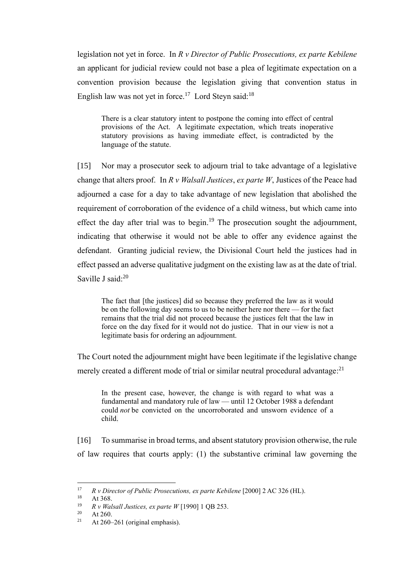legislation not yet in force. In *R v Director of Public Prosecutions, ex parte Kebilene* an applicant for judicial review could not base a plea of legitimate expectation on a convention provision because the legislation giving that convention status in English law was not yet in force.<sup>17</sup> Lord Steyn said:<sup>18</sup>

There is a clear statutory intent to postpone the coming into effect of central provisions of the Act. A legitimate expectation, which treats inoperative statutory provisions as having immediate effect, is contradicted by the language of the statute.

[15] Nor may a prosecutor seek to adjourn trial to take advantage of a legislative change that alters proof. In *R v Walsall Justices*, *ex parte W*, Justices of the Peace had adjourned a case for a day to take advantage of new legislation that abolished the requirement of corroboration of the evidence of a child witness, but which came into effect the day after trial was to begin.<sup>19</sup> The prosecution sought the adjournment, indicating that otherwise it would not be able to offer any evidence against the defendant. Granting judicial review, the Divisional Court held the justices had in effect passed an adverse qualitative judgment on the existing law as at the date of trial. Saville J said:<sup>20</sup>

The fact that [the justices] did so because they preferred the law as it would be on the following day seems to us to be neither here nor there — for the fact remains that the trial did not proceed because the justices felt that the law in force on the day fixed for it would not do justice. That in our view is not a legitimate basis for ordering an adjournment.

The Court noted the adjournment might have been legitimate if the legislative change merely created a different mode of trial or similar neutral procedural advantage:<sup>21</sup>

In the present case, however, the change is with regard to what was a fundamental and mandatory rule of law — until 12 October 1988 a defendant could *not* be convicted on the uncorroborated and unsworn evidence of a child.

[16] To summarise in broad terms, and absent statutory provision otherwise, the rule of law requires that courts apply: (1) the substantive criminal law governing the

<sup>17</sup> *R v Director of Public Prosecutions, ex parte Kebilene* [2000] 2 AC 326 (HL).

 $18$  At 368.

<sup>19</sup> *R v Walsall Justices, ex parte W* [1990] 1 QB 253.

 $\frac{20}{21}$  At 260.

At  $260-261$  (original emphasis).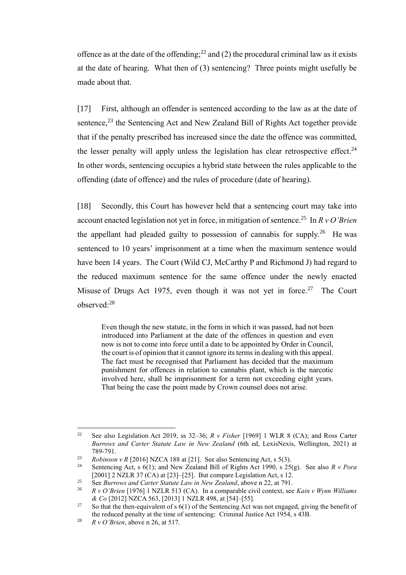<span id="page-6-0"></span>offence as at the date of the offending;<sup>22</sup> and (2) the procedural criminal law as it exists at the date of hearing. What then of (3) sentencing? Three points might usefully be made about that.

[17] First, although an offender is sentenced according to the law as at the date of sentence,<sup>23</sup> the Sentencing Act and New Zealand Bill of Rights Act together provide that if the penalty prescribed has increased since the date the offence was committed, the lesser penalty will apply unless the legislation has clear retrospective effect.<sup>24</sup> In other words, sentencing occupies a hybrid state between the rules applicable to the offending (date of offence) and the rules of procedure (date of hearing).

[18] Secondly, this Court has however held that a sentencing court may take into account enacted legislation not yet in force, in mitigation of sentence.<sup>25</sup> In *R v O'Brien* the appellant had pleaded guilty to possession of cannabis for supply.<sup>26</sup> He was sentenced to 10 years' imprisonment at a time when the maximum sentence would have been 14 years. The Court (Wild CJ, McCarthy P and Richmond J) had regard to the reduced maximum sentence for the same offence under the newly enacted Misuse of Drugs Act 1975, even though it was not yet in force.<sup>27</sup> The Court observed:<sup>28</sup>

<span id="page-6-1"></span>Even though the new statute, in the form in which it was passed, had not been introduced into Parliament at the date of the offences in question and even now is not to come into force until a date to be appointed by Order in Council, the court is of opinion that it cannot ignore its terms in dealing with this appeal. The fact must be recognised that Parliament has decided that the maximum punishment for offences in relation to cannabis plant, which is the narcotic involved here, shall be imprisonment for a term not exceeding eight years. That being the case the point made by Crown counsel does not arise.

<sup>22</sup> See also Legislation Act 2019, ss 32–36; *R v Fisher* [1969] 1 WLR 8 (CA); and Ross Carter *Burrows and Carter Statute Law in New Zealand* (6th ed, LexisNexis, Wellington, 2021) at 789-791.

<sup>23</sup> *Robinson v R* [2016] NZCA 188 at [21]. See also Sentencing Act, s 5(3).

<sup>24</sup> Sentencing Act, s 6(1); and New Zealand Bill of Rights Act 1990, s 25(g). See also *R v Pora*  [2001] 2 NZLR 37 (CA) at [23]–[25]. But compare Legislation Act, s 12.

<sup>&</sup>lt;sup>25</sup> See *Burrows and Carter Statute Law in New Zealand*, above n [22,](#page-6-0) at 791.<br><sup>26</sup> P v Q'Prign [1976] 1 NZI P 513 (CA). In a comparable givil context, see

<sup>26</sup> *R v O'Brien* [1976] 1 NZLR 513 (CA). In a comparable civil context, see *Kain v Wynn Williams & Co* [2012] NZCA 563, [2013] 1 NZLR 498, at [54]–[55].

<sup>&</sup>lt;sup>27</sup> So that the then-equivalent of s  $6(1)$  of the Sentencing Act was not engaged, giving the benefit of the reduced penalty at the time of sentencing: Criminal Justice Act 1954, s 43B.

<sup>28</sup> *R v O'Brien*, above n [26,](#page-6-1) at 517.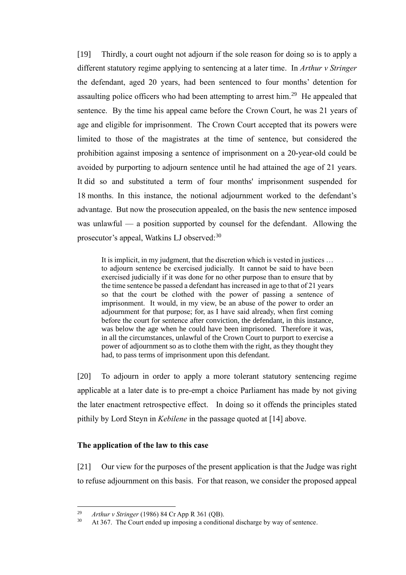[19] Thirdly, a court ought not adjourn if the sole reason for doing so is to apply a different statutory regime applying to sentencing at a later time. In *Arthur v Stringer*  the defendant, aged 20 years, had been sentenced to four months' detention for assaulting police officers who had been attempting to arrest him.<sup>29</sup> He appealed that sentence. By the time his appeal came before the Crown Court, he was 21 years of age and eligible for imprisonment. The Crown Court accepted that its powers were limited to those of the magistrates at the time of sentence, but considered the prohibition against imposing a sentence of imprisonment on a 20-year-old could be avoided by purporting to adjourn sentence until he had attained the age of 21 years. It did so and substituted a term of four months' imprisonment suspended for 18 months. In this instance, the notional adjournment worked to the defendant's advantage. But now the prosecution appealed, on the basis the new sentence imposed was unlawful — a position supported by counsel for the defendant. Allowing the prosecutor's appeal, Watkins LJ observed:<sup>30</sup>

It is implicit, in my judgment, that the discretion which is vested in justices … to adjourn sentence be exercised judicially. It cannot be said to have been exercised judicially if it was done for no other purpose than to ensure that by the time sentence be passed a defendant has increased in age to that of 21 years so that the court be clothed with the power of passing a sentence of imprisonment. It would, in my view, be an abuse of the power to order an adjournment for that purpose; for, as I have said already, when first coming before the court for sentence after conviction, the defendant, in this instance, was below the age when he could have been imprisoned. Therefore it was, in all the circumstances, unlawful of the Crown Court to purport to exercise a power of adjournment so as to clothe them with the right, as they thought they had, to pass terms of imprisonment upon this defendant.

[20] To adjourn in order to apply a more tolerant statutory sentencing regime applicable at a later date is to pre-empt a choice Parliament has made by not giving the later enactment retrospective effect. In doing so it offends the principles stated pithily by Lord Steyn in *Kebilene* in the passage quoted at [14] above.

## **The application of the law to this case**

[21] Our view for the purposes of the present application is that the Judge was right to refuse adjournment on this basis. For that reason, we consider the proposed appeal

<sup>&</sup>lt;sup>29</sup> *Arthur v Stringer* (1986) 84 Cr App R 361 (QB).<br><sup>30</sup> At 367 The Court ended un imposing a conditional

At 367. The Court ended up imposing a conditional discharge by way of sentence.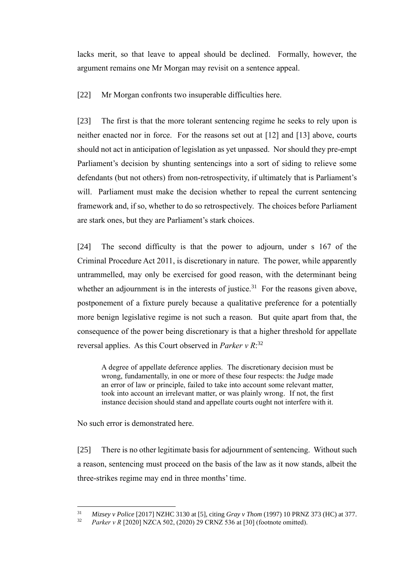lacks merit, so that leave to appeal should be declined. Formally, however, the argument remains one Mr Morgan may revisit on a sentence appeal.

[22] Mr Morgan confronts two insuperable difficulties here.

[23] The first is that the more tolerant sentencing regime he seeks to rely upon is neither enacted nor in force. For the reasons set out at [\[12\]](#page-4-0) and [\[13\]](#page-4-1) above, courts should not act in anticipation of legislation as yet unpassed. Nor should they pre-empt Parliament's decision by shunting sentencings into a sort of siding to relieve some defendants (but not others) from non-retrospectivity, if ultimately that is Parliament's will. Parliament must make the decision whether to repeal the current sentencing framework and, if so, whether to do so retrospectively. The choices before Parliament are stark ones, but they are Parliament's stark choices.

[24] The second difficulty is that the power to adjourn, under s 167 of the Criminal Procedure Act 2011, is discretionary in nature. The power, while apparently untrammelled, may only be exercised for good reason, with the determinant being whether an adjournment is in the interests of justice.<sup>31</sup> For the reasons given above, postponement of a fixture purely because a qualitative preference for a potentially more benign legislative regime is not such a reason. But quite apart from that, the consequence of the power being discretionary is that a higher threshold for appellate reversal applies. As this Court observed in *Parker v R*: 32

A degree of appellate deference applies. The discretionary decision must be wrong, fundamentally, in one or more of these four respects: the Judge made an error of law or principle, failed to take into account some relevant matter, took into account an irrelevant matter, or was plainly wrong. If not, the first instance decision should stand and appellate courts ought not interfere with it.

No such error is demonstrated here.

[25] There is no other legitimate basis for adjournment of sentencing. Without such a reason, sentencing must proceed on the basis of the law as it now stands, albeit the three-strikes regime may end in three months' time.

<sup>31</sup> *Mizsey v Police* [2017] NZHC 3130 at [5], citing *Gray v Thom* (1997) 10 PRNZ 373 (HC) at 377.

<sup>32</sup> *Parker v R* [2020] NZCA 502, (2020) 29 CRNZ 536 at [30] (footnote omitted).